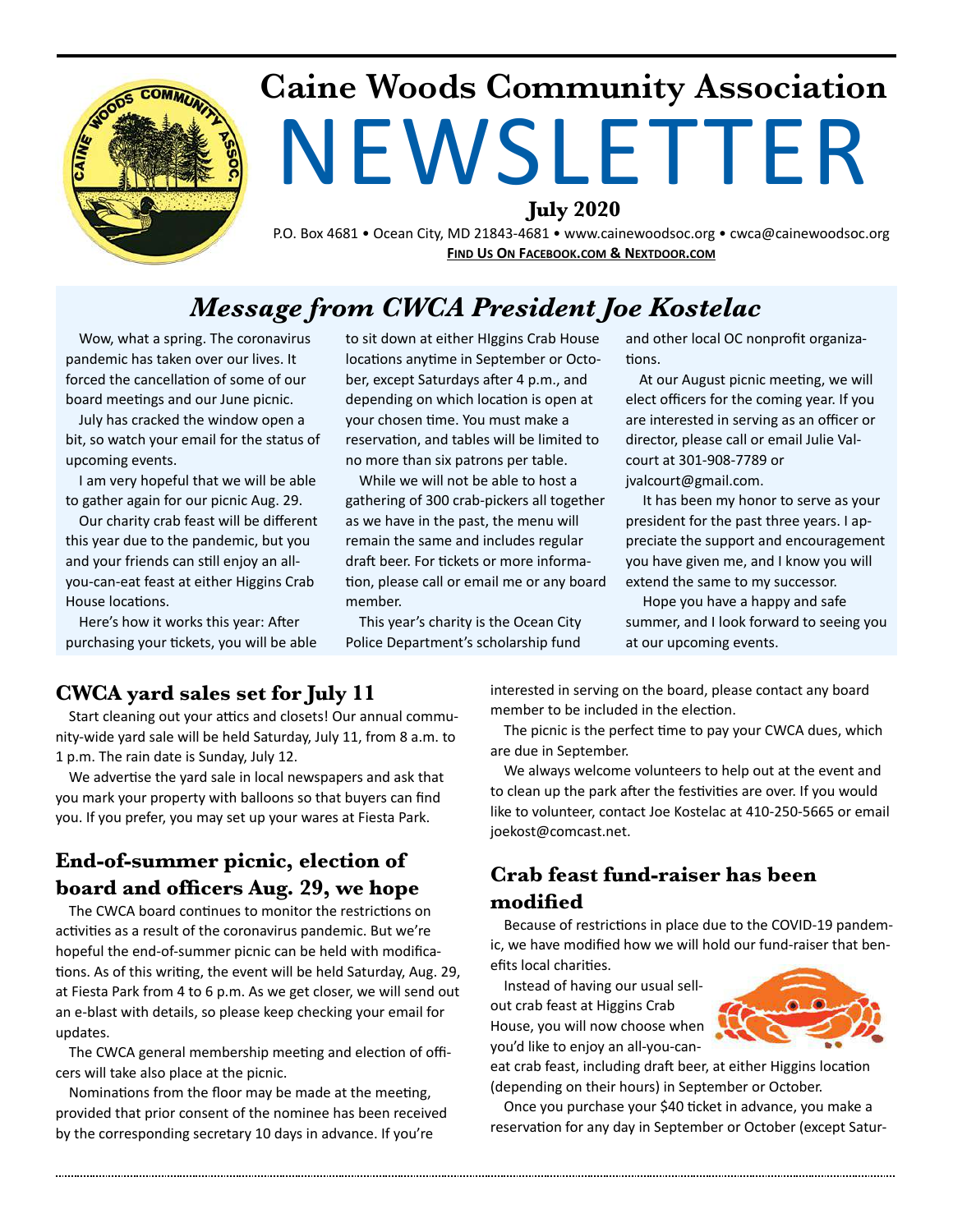

# **Caine Woods Community Association**  NEWSLETTER

**July 2020** 

P.O. Box 4681 • Ocean City, MD 21843-4681 • www.cainewoodsoc.org • cwca@cainewoodsoc.org **FIND US ON FACEBOOK.COM & NEXTDOOR.COM** 

#### *Message from CWCA President Joe Kostelac*

Wow, what a spring. The coronavirus pandemic has taken over our lives. It forced the cancellation of some of our board meetings and our June picnic.

July has cracked the window open a bit, so watch your email for the status of upcoming events.

I am very hopeful that we will be able to gather again for our picnic Aug. 29.

Our charity crab feast will be different this year due to the pandemic, but you and your friends can still enjoy an allyou-can-eat feast at either Higgins Crab House locations.

Here's how it works this year: After purchasing your tickets, you will be able to sit down at either HIggins Crab House locations anytime in September or October, except Saturdays after 4 p.m., and depending on which location is open at your chosen time. You must make a reservation, and tables will be limited to no more than six patrons per table.

While we will not be able to host a gathering of 300 crab-pickers all together as we have in the past, the menu will remain the same and includes regular draft beer. For tickets or more information, please call or email me or any board member.

This year's charity is the Ocean City Police Department's scholarship fund

and other local OC nonprofit organiza tions

At our August picnic meeting, we will elect officers for the coming year. If you are interested in serving as an officer or director, please call or email Julie Valcourt at 301-908-7789 or jvalcourt@gmail.com.

 It has been my honor to serve as your president for the past three years. I appreciate the support and encouragement you have given me, and I know you will extend the same to my successor.

 Hope you have a happy and safe summer, and I look forward to seeing you at our upcoming events.

#### **CWCA yard sales set for July 11**

Start cleaning out your attics and closets! Our annual community-wide yard sale will be held Saturday, July 11, from 8 a.m. to 1 p.m. The rain date is Sunday, July 12.

We advertise the yard sale in local newspapers and ask that you mark your property with balloons so that buyers can find you. If you prefer, you may set up your wares at Fiesta Park.

#### **End-of-summer picnic, election of board and officers Aug. 29, we hope**

The CWCA board continues to monitor the restrictions on activities as a result of the coronavirus pandemic. But we're hopeful the end-of-summer picnic can be held with modifica tions. As of this writing, the event will be held Saturday, Aug. 29, at Fiesta Park from 4 to 6 p.m. As we get closer, we will send out an e-blast with details, so please keep checking your email for updates.

The CWCA general membership meeting and election of officers will take also place at the picnic.

Nominations from the floor may be made at the meeting, provided that prior consent of the nominee has been received by the corresponding secretary 10 days in advance. If you're

interested in serving on the board, please contact any board member to be included in the election.

The picnic is the perfect time to pay your CWCA dues, which are due in September.

We always welcome volunteers to help out at the event and to clean up the park after the festivities are over. If you would like to volunteer, contact Joe Kostelac at 410-250-5665 or email joekost@comcast.net.

#### **Crab feast fund-raiser has been modified**

Because of restrictions in place due to the COVID-19 pandemic, we have modified how we will hold our fund-raiser that benefits local charities.

Instead of having our usual sellout crab feast at Higgins Crab House, you will now choose when you'd like to enjoy an all-you-can-



eat crab feast, including draft beer, at either Higgins location (depending on their hours) in September or October.

Once you purchase your \$40 ticket in advance, you make a reservation for any day in September or October (except Satur-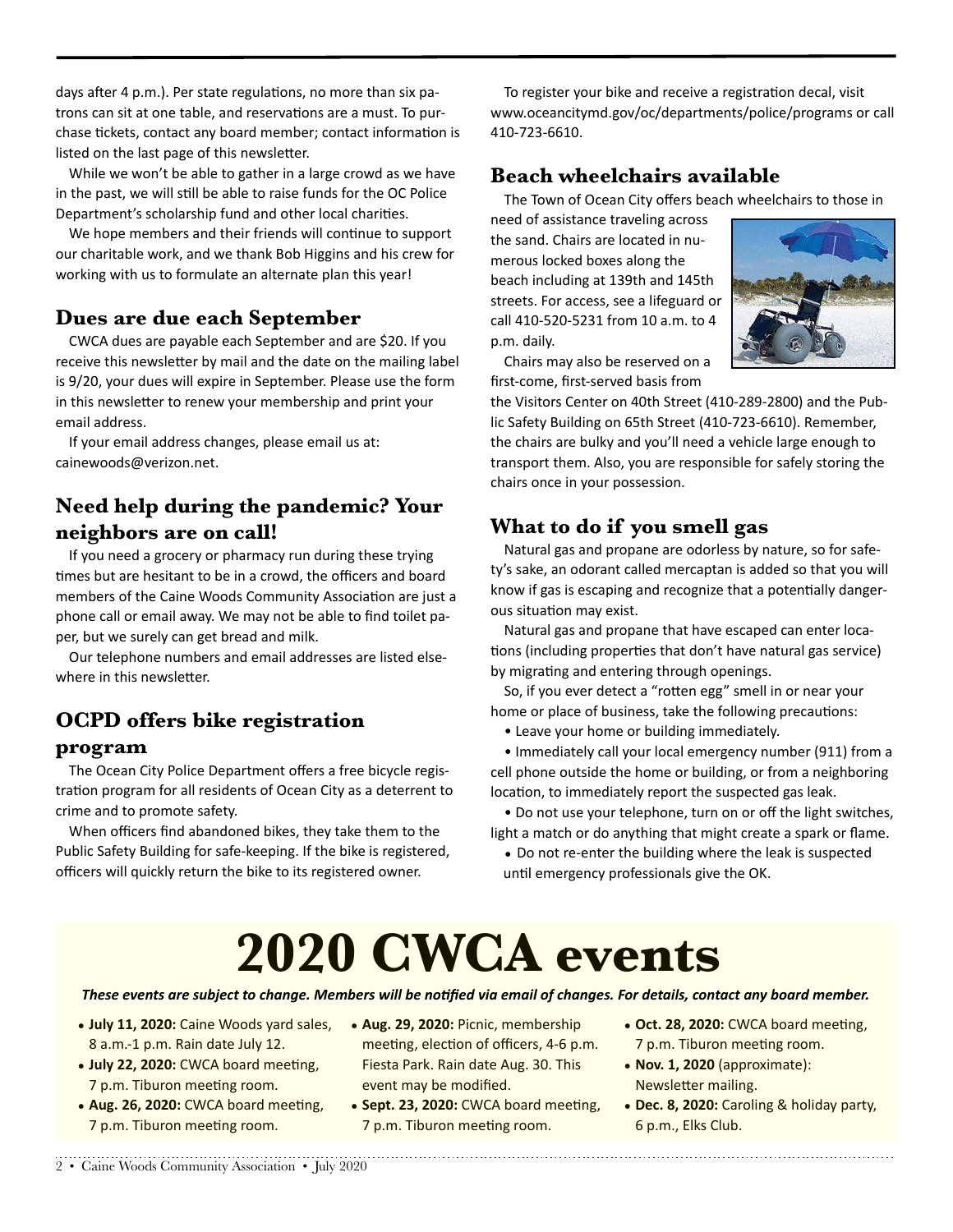days after 4 p.m.). Per state regulations, no more than six patrons can sit at one table, and reservations are a must. To purchase tickets, contact any board member; contact information is listed on the last page of this newsletter.

While we won't be able to gather in a large crowd as we have in the past, we will still be able to raise funds for the OC Police Department's scholarship fund and other local charities.

We hope members and their friends will continue to support our charitable work, and we thank Bob Higgins and his crew for working with us to formulate an alternate plan this year!

#### **Dues are due each September**

CWCA dues are payable each September and are \$20. If you receive this newsletter by mail and the date on the mailing label is 9/20, your dues will expire in September. Please use the form in this newsletter to renew your membership and print your email address.

If your email address changes, please email us at: [cainewoods@verizon.net](mailto:cainewoods@verizon.net).

#### **Need help during the pandemic? Your neighbors are on call!**

If you need a grocery or pharmacy run during these trying times but are hesitant to be in a crowd, the officers and board members of the Caine Woods Community Association are just a phone call or email away. We may not be able to find toilet paper, but we surely can get bread and milk.

Our telephone numbers and email addresses are listed elsewhere in this newsletter.

#### **OCPD offers bike registration**

#### **program**

The Ocean City Police Department offers a free bicycle registration program for all residents of Ocean City as a deterrent to crime and to promote safety.

When officers find abandoned bikes, they take them to the Public Safety Building for safe-keeping. If the bike is registered, officers will quickly return the bike to its registered owner.

To register your bike and receive a registration decal, visit [www.oceancitymd.gov/oc/departments/police/programs](http://www.oceancitymd.gov/oc/departments/police/programs) or call 410-723-6610.

#### **Beach wheelchairs available**

The Town of Ocean City offers beach wheelchairs to those in

need of assistance traveling across the sand. Chairs are located in numerous locked boxes along the beach including at 139th and 145th streets. For access, see a lifeguard or call 410-520-5231 from 10 a.m. to 4 p.m. daily.

Chairs may also be reserved on a first-come, first-served basis from

the Visitors Center on 40th Street (410-289-2800) and the Public Safety Building on 65th Street (410-723-6610). Remember, the chairs are bulky and you'll need a vehicle large enough to transport them. Also, you are responsible for safely storing the chairs once in your possession.

#### **What to do if you smell gas**

Natural gas and propane are odorless by nature, so for safety's sake, an odorant called mercaptan is added so that you will know if gas is escaping and recognize that a potentially dangerous situation may exist.

Natural gas and propane that have escaped can enter loca tions (including properties that don't have natural gas service) by migrating and entering through openings.

So, if you ever detect a "rotten egg" smell in or near your home or place of business, take the following precautions:

• Leave your home or building immediately.

• Immediately call your local emergency number (911) from a cell phone outside the home or building, or from a neighboring location, to immediately report the suspected gas leak.

• Do not use your telephone, turn on or off the light switches, light a match or do anything that might create a spark or flame.

• Do not re-enter the building where the leak is suspected until emergency professionals give the OK.

# **2020 CWCA events**

#### These events are subject to change. Members will be notified via email of changes. For details, contact any board member.

- **July 11, 2020:** Caine Woods yard sales, 8 a.m.-1 p.m. Rain date July 12.
- **July 22, 2020:** CWCA board meeting, 7 p.m. Tiburon meeting room.
- Aug. 26, 2020: CWCA board meeting, 7 p.m. Tiburon meeting room.
- Aug. 29, 2020: Picnic, membership meeting, election of officers, 4-6 p.m. Fiesta Park. Rain date Aug. 30. This event may be modified.
- Sept. 23, 2020: CWCA board meeting, 7 p.m. Tiburon meeting room.
- Oct. 28, 2020: CWCA board meeting, 7 p.m. Tiburon meeting room.
- **Nov. 1, 2020** (approximate): Newsletter mailing.
- **Dec. 8, 2020:** Caroling & holiday party, 6 p.m., Elks Club.

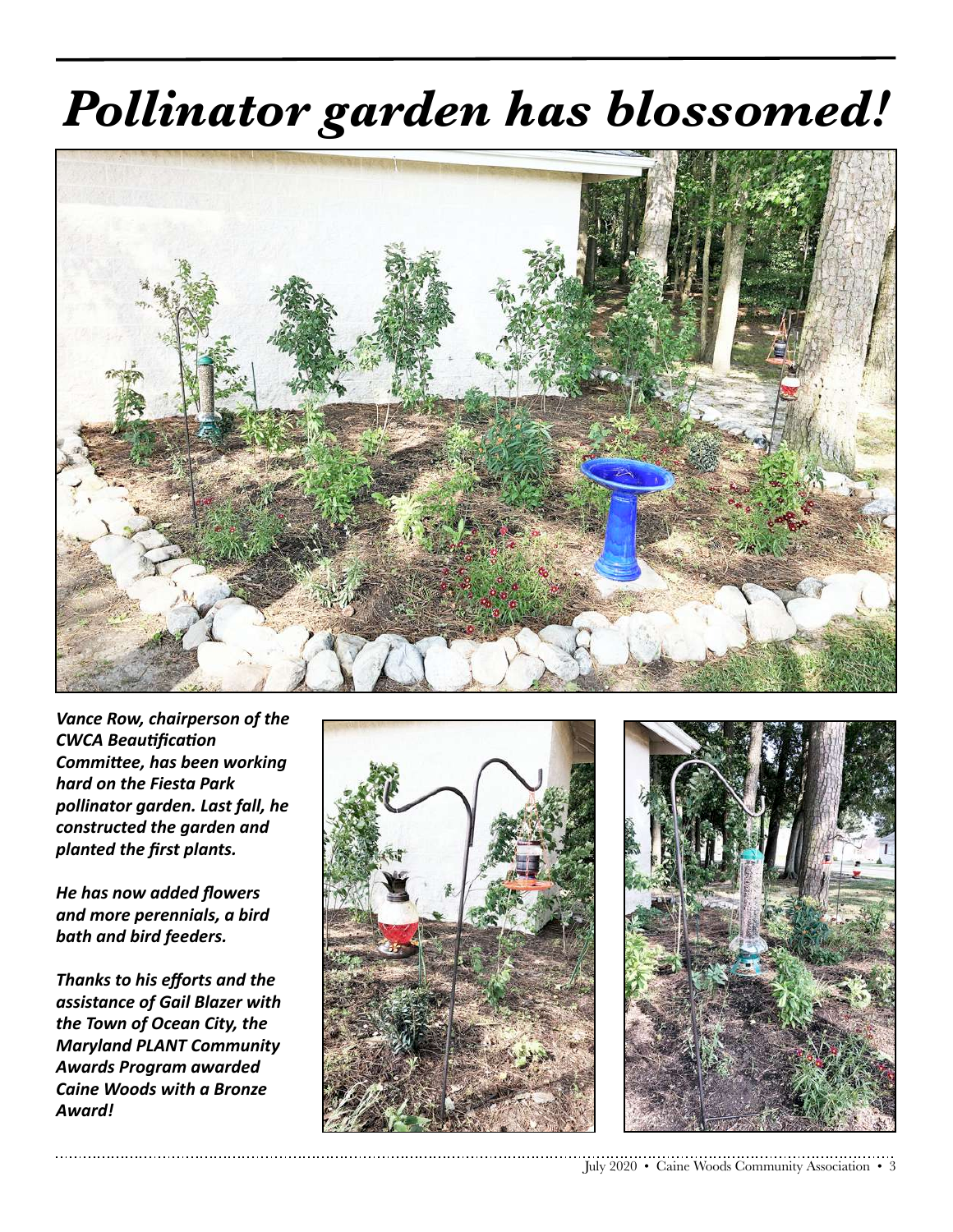# *Pollinator garden has blossomed!*



**Vance Row, chairperson of the CWCA Beautification Committee, has been working** *hard on the Fiesta Park pollinator garden. Last fall, he constructed the garden and planted the first plants.* 

**He** has now added flowers *and more perennials, a bird*  **bath and bird feeders.** 

**Thanks to his efforts and the** *assistance of Gail Blazer with*  the Town of Ocean City, the *Maryland PLANT Community Awards Program awarded Caine Woods with a Bronze Award!*



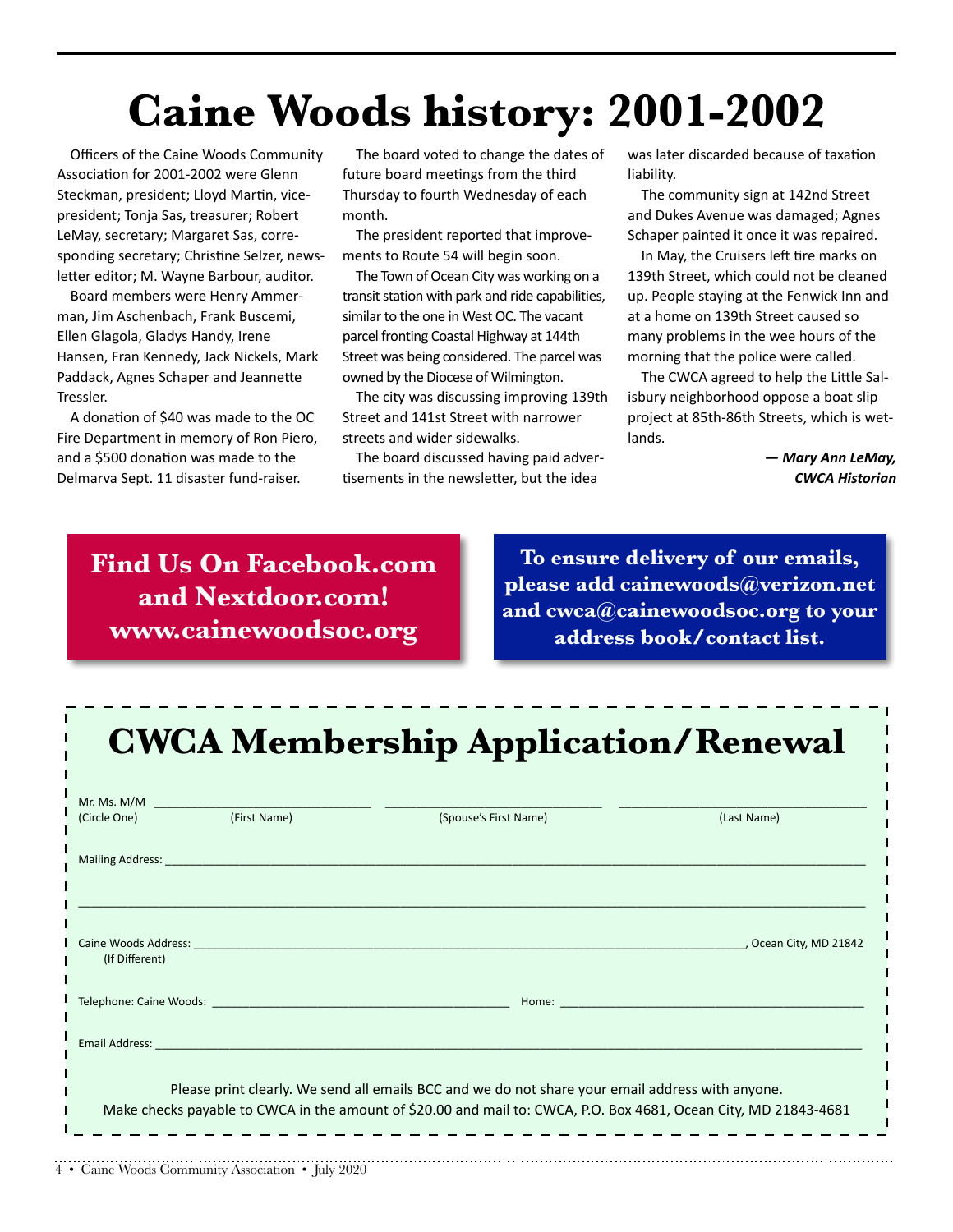# **Caine Woods history: 2001-2002**

Officers of the Caine Woods Community Association for 2001-2002 were Glenn Steckman, president; Lloyd Martin, vicepresident; Tonja Sas, treasurer; Robert LeMay, secretary; Margaret Sas, corresponding secretary; Christine Selzer, newsletter editor; M. Wayne Barbour, auditor.

Board members were Henry Ammerman, Jim Aschenbach, Frank Buscemi, Ellen Glagola, Gladys Handy, Irene Hansen, Fran Kennedy, Jack Nickels, Mark Paddack, Agnes Schaper and Jeannette Tressler.

A donation of \$40 was made to the OC Fire Department in memory of Ron Piero, and a \$500 donation was made to the Delmarva Sept. 11 disaster fund-raiser.

The board voted to change the dates of future board meetings from the third Thursday to fourth Wednesday of each month.

The president reported that improvements to Route 54 will begin soon.

The Town of Ocean City was working on a transit station with park and ride capabilities, similar to the one in West OC. The vacant parcel fronting Coastal Highway at 144th Street was being considered. The parcel was owned by the Diocese of Wilmington.

The city was discussing improving 139th Street and 141st Street with narrower streets and wider sidewalks.

The board discussed having paid adver tisements in the newsletter, but the idea

was later discarded because of taxation liability.

The community sign at 142nd Street and Dukes Avenue was damaged; Agnes Schaper painted it once it was repaired.

In May, the Cruisers left tire marks on 139th Street, which could not be cleaned up. People staying at the Fenwick Inn and at a home on 139th Street caused so many problems in the wee hours of the morning that the police were called.

The CWCA agreed to help the Little Salisbury neighborhood oppose a boat slip project at 85th-86th Streets, which is wetlands.

> *— Mary Ann LeMay, CWCA Historian*

**Find Us On Facebook.com and Nextdoor.com! www.cainewoodsoc.org**

**To ensure delivery of our emails, please add cainewoods@verizon.net and cwca@cainewoodsoc.org to your address book/contact list.**

### **CWCA Membership Application/Renewal**

|                | (Circle One) (First Name)                                                                                                                                                                                | (Spouse's First Name)                                                                                                                                                                                                | (Last Name)                                                                                                                                                                                                                    |
|----------------|----------------------------------------------------------------------------------------------------------------------------------------------------------------------------------------------------------|----------------------------------------------------------------------------------------------------------------------------------------------------------------------------------------------------------------------|--------------------------------------------------------------------------------------------------------------------------------------------------------------------------------------------------------------------------------|
|                | Mailing Address: National Address: National Address: National Address: National Address: National Address                                                                                                |                                                                                                                                                                                                                      |                                                                                                                                                                                                                                |
|                |                                                                                                                                                                                                          |                                                                                                                                                                                                                      |                                                                                                                                                                                                                                |
| (If Different) | Caine Woods Address: The Caine Woods Address:                                                                                                                                                            |                                                                                                                                                                                                                      | , Ocean City, MD 21842                                                                                                                                                                                                         |
|                |                                                                                                                                                                                                          |                                                                                                                                                                                                                      | Home: North Park and the Commission of the Commission of the Commission of the Commission of the Commission of the Commission of the Commission of the Commission of the Commission of the Commission of the Commission of the |
|                | <b>Email Address: Email Address: All Address: All Address: All Address: All Address: All Address: All Address: All Address: All Address: All Address: All Address: All Address: All Address: All Add</b> |                                                                                                                                                                                                                      |                                                                                                                                                                                                                                |
|                |                                                                                                                                                                                                          | Please print clearly. We send all emails BCC and we do not share your email address with anyone.<br>Make checks payable to CWCA in the amount of \$20.00 and mail to: CWCA, P.O. Box 4681, Ocean City, MD 21843-4681 |                                                                                                                                                                                                                                |
|                |                                                                                                                                                                                                          |                                                                                                                                                                                                                      |                                                                                                                                                                                                                                |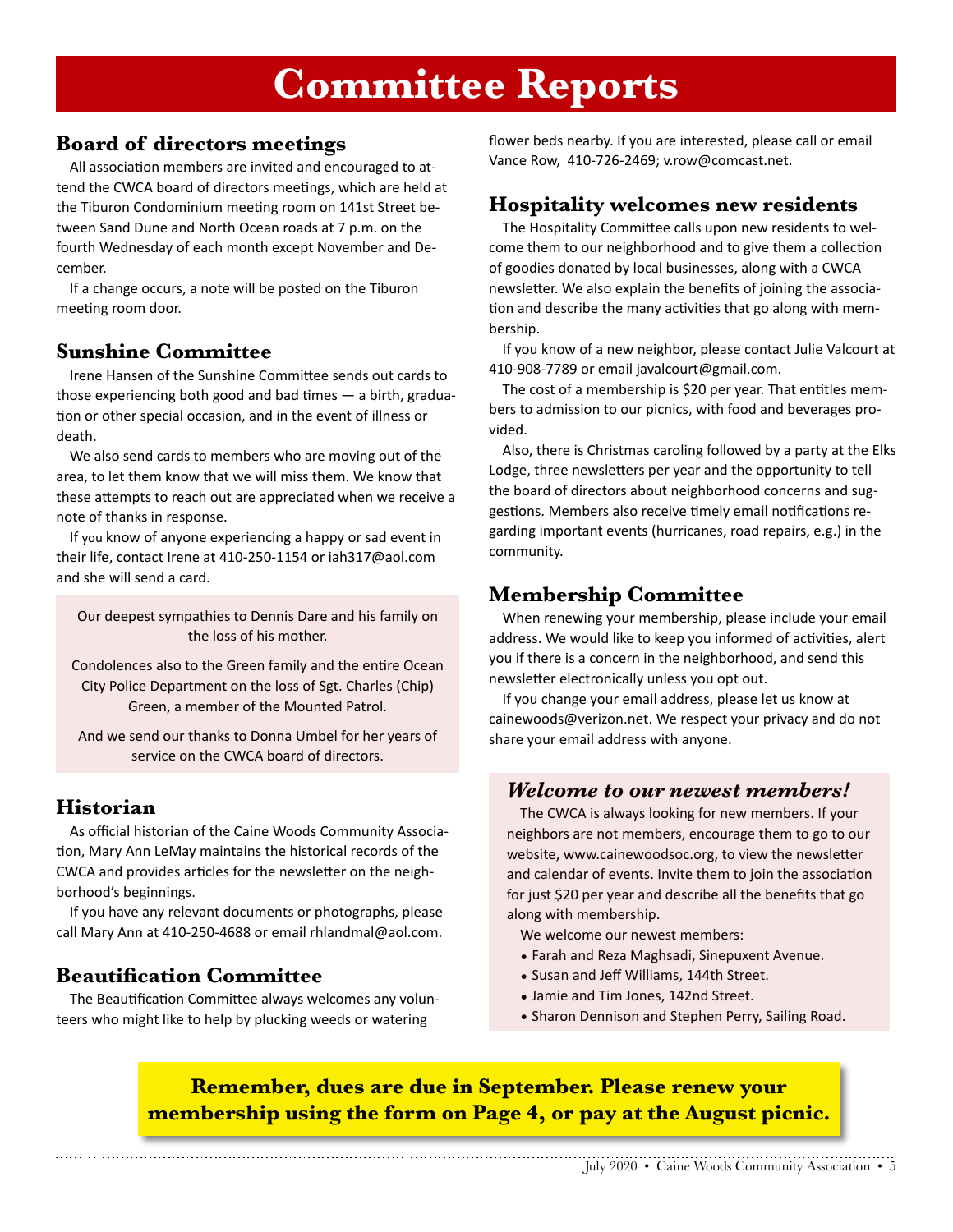### **Committee Reports**

#### **Board of directors meetings**

All association members are invited and encouraged to attend the CWCA board of directors meetings, which are held at the Tiburon Condominium meeting room on 141st Street between Sand Dune and North Ocean roads at 7 p.m. on the fourth Wednesday of each month except November and December.

If a change occurs, a note will be posted on the Tiburon meeting room door.

#### **Sunshine Committee**

Irene Hansen of the Sunshine Committee sends out cards to those experiencing both good and bad times  $-$  a birth, graduation or other special occasion, and in the event of illness or death.

We also send cards to members who are moving out of the area, to let them know that we will miss them. We know that these attempts to reach out are appreciated when we receive a note of thanks in response.

If you know of anyone experiencing a happy or sad event in their life, contact Irene at 410-250-1154 or iah317@aol.com and she will send a card.

Our deepest sympathies to Dennis Dare and his family on the loss of his mother.

Condolences also to the Green family and the entire Ocean City Police Department on the loss of Sgt. Charles (Chip) Green, a member of the Mounted Patrol.

And we send our thanks to Donna Umbel for her years of service on the CWCA board of directors.

#### **Historian**

As official historian of the Caine Woods Community Associa tion, Mary Ann LeMay maintains the historical records of the CWCA and provides articles for the newsletter on the neighborhood's beginnings.

If you have any relevant documents or photographs, please call Mary Ann at 410-250-4688 or email [rhlandmal@aol.com.](mailto:rhlandmal@aol.com)

#### **Beautification Committee**

The Beautification Committee always welcomes any volunteers who might like to help by plucking weeds or watering

flower beds nearby. If you are interested, please call or email Vance Row, 410-726-2469; v.row@comcast.net.

#### **Hospitality welcomes new residents**

The Hospitality Committee calls upon new residents to welcome them to our neighborhood and to give them a collection of goodies donated by local businesses, along with a CWCA newsletter. We also explain the benefits of joining the association and describe the many activities that go along with membership.

If you know of a new neighbor, please contact Julie Valcourt at 410-908-7789 or email javalcourt@gmail.com.

The cost of a membership is \$20 per year. That entitles members to admission to our picnics, with food and beverages provided.

Also, there is Christmas caroling followed by a party at the Elks Lodge, three newsletters per year and the opportunity to tell the board of directors about neighborhood concerns and suggestions. Members also receive timely email notifications regarding important events (hurricanes, road repairs, e.g.) in the community.

#### **Membership Committee**

When renewing your membership, please include your email address. We would like to keep you informed of activities, alert you if there is a concern in the neighborhood, and send this newsletter electronically unless you opt out.

If you change your email address, please let us know at cainewoods@verizon.net. We respect your privacy and do not share your email address with anyone.

#### *Welcome to our newest members!*

The CWCA is always looking for new members. If your neighbors are not members, encourage them to go to our website, [www.cainewoodsoc.org](http://www.cainewoodsoc.org), to view the newsletter and calendar of events. Invite them to join the association for just \$20 per year and describe all the benefits that go along with membership.

We welcome our newest members:

- Farah and Reza Maghsadi, Sinepuxent Avenue.
- Susan and Jeff Williams, 144th Street.
- Jamie and Tim Jones, 142nd Street.
- Sharon Dennison and Stephen Perry, Sailing Road.

#### **Remember, dues are due in September. Please renew your membership using the form on Page 4, or pay at the August picnic.**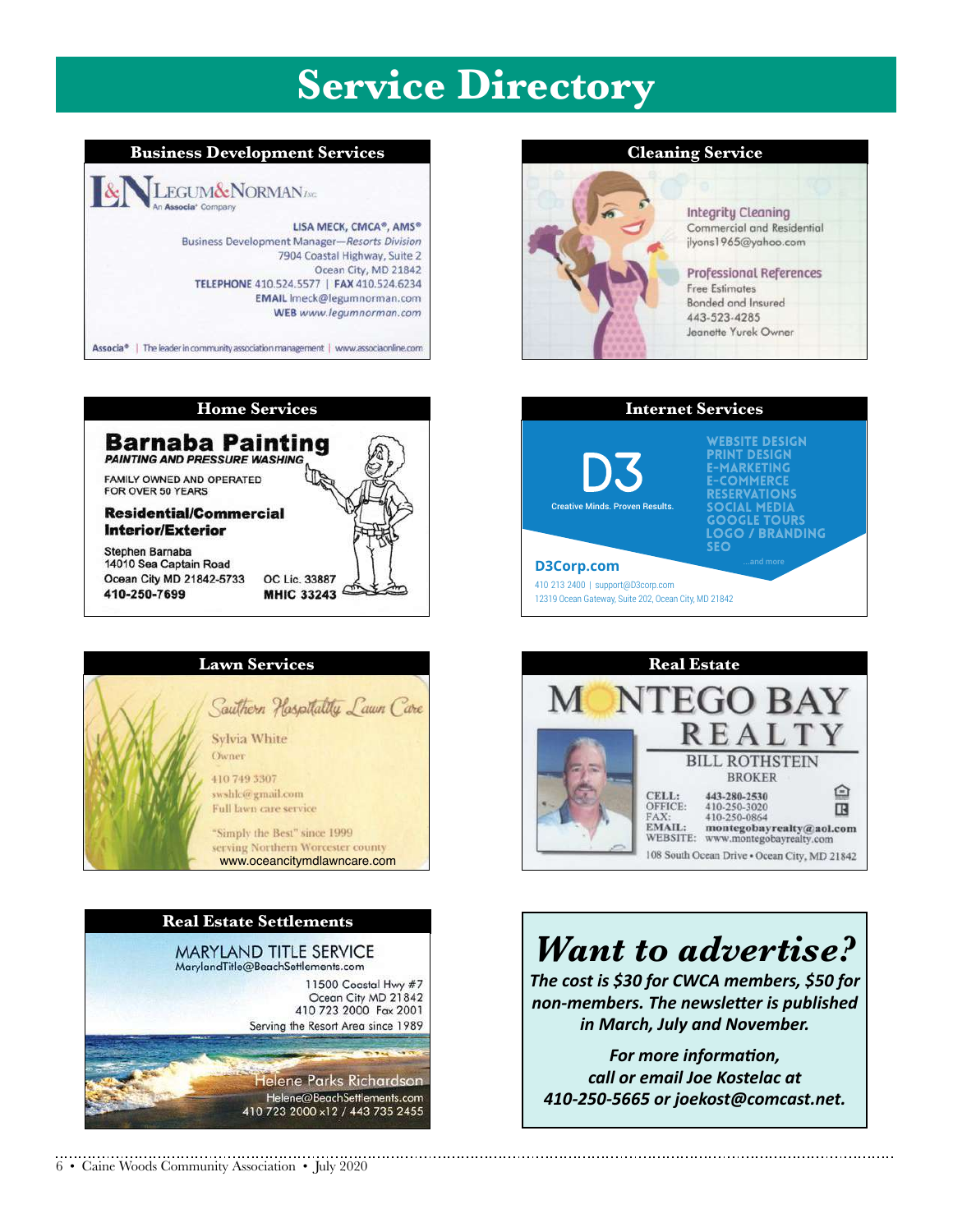## **Service Directory**









#### 6 • Caine Woods Community Association • July 2020





#### **Integrity Cleaning** Commercial and Residential jlyons1965@yahoo.com **Professional References Free Estimates** Bonded and Insured 443-523-4285

Jeanette Yurek Owner





### *Want to advertise?*

The cost is \$30 for CWCA members, \$50 for *non-members. The newsletter is published in March, July and November.* 

For more information, *call or email Joe Kostelac at 410-250-5665 or joekost@comcast.net.*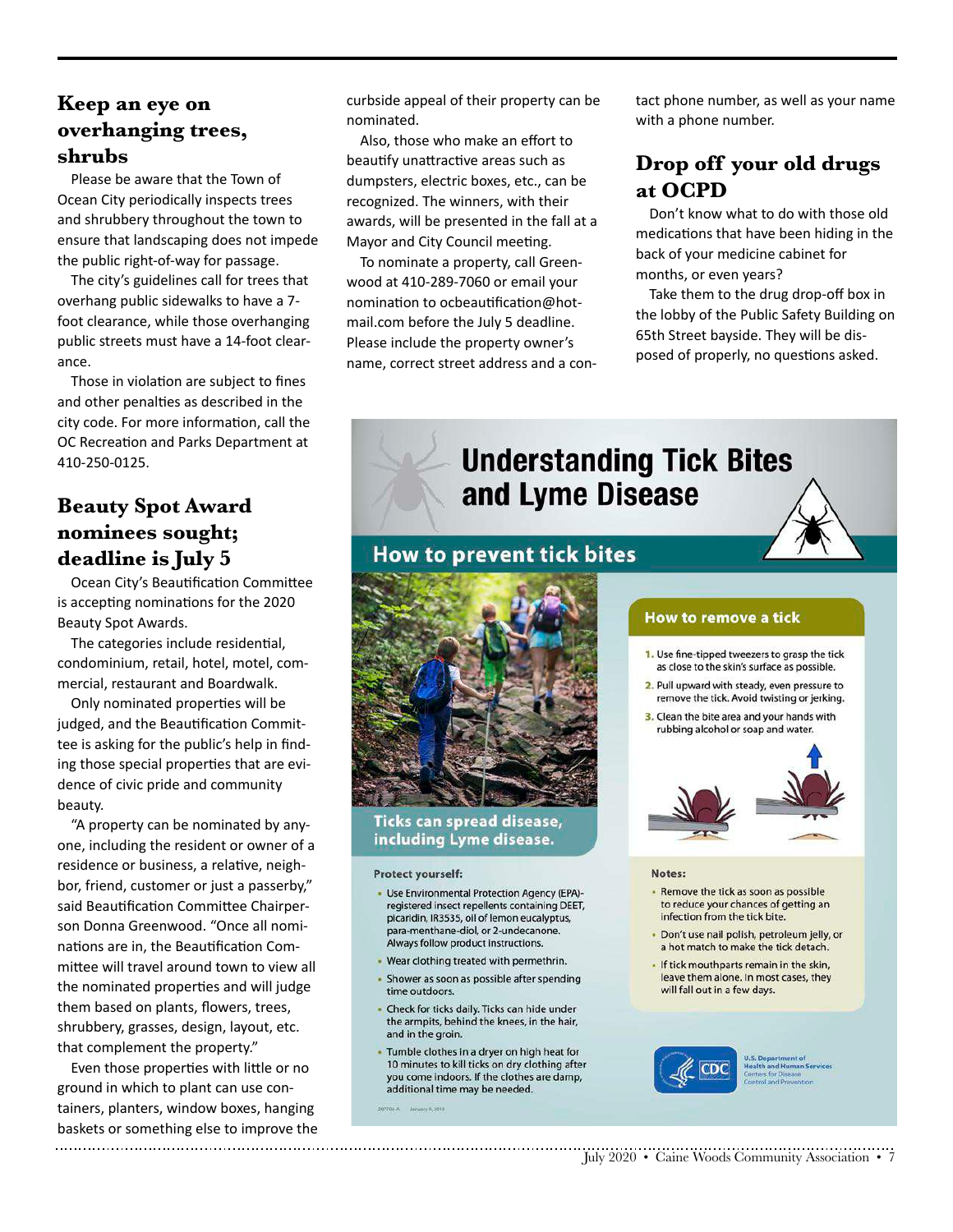#### **Keep an eye on overhanging trees, shrubs**

Please be aware that the Town of Ocean City periodically inspects trees and shrubbery throughout the town to ensure that landscaping does not impede the public right-of-way for passage.

The city's guidelines call for trees that overhang public sidewalks to have a 7 foot clearance, while those overhanging public streets must have a 14-foot clearance.

Those in violation are subject to fines and other penalties as described in the city code. For more information, call the OC Recreation and Parks Department at 410-250-0125.

#### **Beauty Spot Award nominees sought; deadline is July 5**

Ocean City's Beautification Committee is accepting nominations for the 2020 Beauty Spot Awards.

The categories include residential, condominium, retail, hotel, motel, commercial, restaurant and Boardwalk.

Only nominated properties will be judged, and the Beautification Committee is asking for the public's help in finding those special properties that are evidence of civic pride and community beauty.

"A property can be nominated by anyone, including the resident or owner of a residence or business, a relative, neighbor, friend, customer or just a passerby," said Beautification Committee Chairperson Donna Greenwood. "Once all nominations are in, the Beautification Committee will travel around town to view all the nominated properties and will judge them based on plants, flowers, trees, shrubbery, grasses, design, layout, etc. that complement the property."

Even those properties with little or no ground in which to plant can use containers, planters, window boxes, hanging baskets or something else to improve the 

curbside appeal of their property can be nominated.

Also, those who make an effort to beautify unattractive areas such as dumpsters, electric boxes, etc., can be recognized. The winners, with their awards, will be presented in the fall at a Mayor and City Council meeting.

To nominate a property, call Greenwood at 410-289-7060 or email your nomination to ocbeautification@hotmail.com before the July 5 deadline. Please include the property owner's name, correct street address and a contact phone number, as well as your name with a phone number.

#### **Drop off your old drugs at OCPD**

Don't know what to do with those old medications that have been hiding in the back of your medicine cabinet for months, or even years?

Take them to the drug drop-off box in the lobby of the Public Safety Building on 65th Street bayside. They will be disposed of properly, no questions asked.